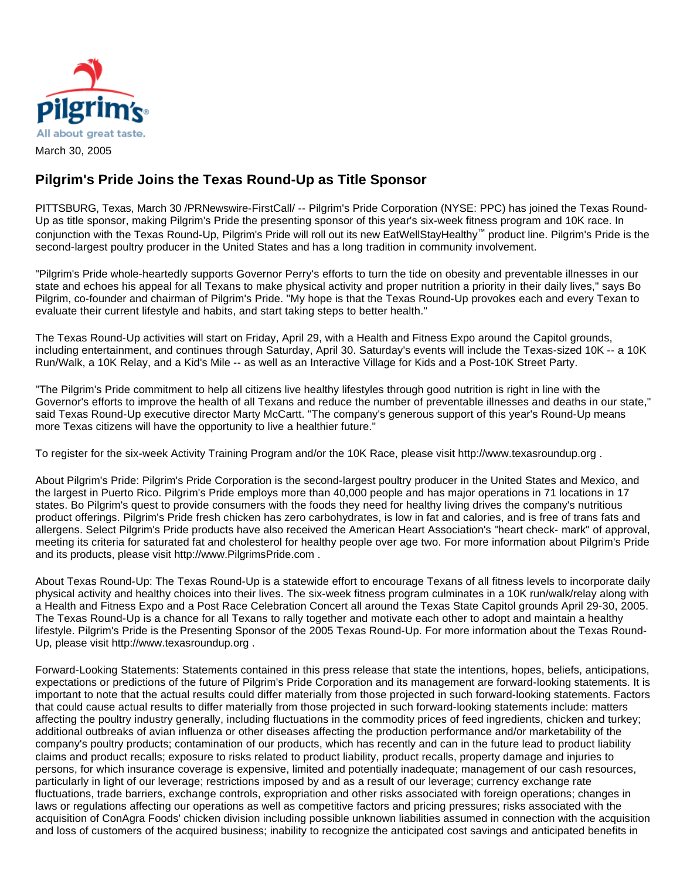

## **Pilgrim's Pride Joins the Texas Round-Up as Title Sponsor**

PITTSBURG, Texas, March 30 /PRNewswire-FirstCall/ -- Pilgrim's Pride Corporation (NYSE: PPC) has joined the Texas Round-Up as title sponsor, making Pilgrim's Pride the presenting sponsor of this year's six-week fitness program and 10K race. In conjunction with the Texas Round-Up, Pilgrim's Pride will roll out its new EatWellStayHealthy™ product line. Pilgrim's Pride is the second-largest poultry producer in the United States and has a long tradition in community involvement.

"Pilgrim's Pride whole-heartedly supports Governor Perry's efforts to turn the tide on obesity and preventable illnesses in our state and echoes his appeal for all Texans to make physical activity and proper nutrition a priority in their daily lives," says Bo Pilgrim, co-founder and chairman of Pilgrim's Pride. "My hope is that the Texas Round-Up provokes each and every Texan to evaluate their current lifestyle and habits, and start taking steps to better health."

The Texas Round-Up activities will start on Friday, April 29, with a Health and Fitness Expo around the Capitol grounds, including entertainment, and continues through Saturday, April 30. Saturday's events will include the Texas-sized 10K -- a 10K Run/Walk, a 10K Relay, and a Kid's Mile -- as well as an Interactive Village for Kids and a Post-10K Street Party.

"The Pilgrim's Pride commitment to help all citizens live healthy lifestyles through good nutrition is right in line with the Governor's efforts to improve the health of all Texans and reduce the number of preventable illnesses and deaths in our state," said Texas Round-Up executive director Marty McCartt. "The company's generous support of this year's Round-Up means more Texas citizens will have the opportunity to live a healthier future."

To register for the six-week Activity Training Program and/or the 10K Race, please visit http://www.texasroundup.org .

About Pilgrim's Pride: Pilgrim's Pride Corporation is the second-largest poultry producer in the United States and Mexico, and the largest in Puerto Rico. Pilgrim's Pride employs more than 40,000 people and has major operations in 71 locations in 17 states. Bo Pilgrim's quest to provide consumers with the foods they need for healthy living drives the company's nutritious product offerings. Pilgrim's Pride fresh chicken has zero carbohydrates, is low in fat and calories, and is free of trans fats and allergens. Select Pilgrim's Pride products have also received the American Heart Association's "heart check- mark" of approval, meeting its criteria for saturated fat and cholesterol for healthy people over age two. For more information about Pilgrim's Pride and its products, please visit http://www.PilgrimsPride.com .

About Texas Round-Up: The Texas Round-Up is a statewide effort to encourage Texans of all fitness levels to incorporate daily physical activity and healthy choices into their lives. The six-week fitness program culminates in a 10K run/walk/relay along with a Health and Fitness Expo and a Post Race Celebration Concert all around the Texas State Capitol grounds April 29-30, 2005. The Texas Round-Up is a chance for all Texans to rally together and motivate each other to adopt and maintain a healthy lifestyle. Pilgrim's Pride is the Presenting Sponsor of the 2005 Texas Round-Up. For more information about the Texas Round-Up, please visit http://www.texasroundup.org .

Forward-Looking Statements: Statements contained in this press release that state the intentions, hopes, beliefs, anticipations, expectations or predictions of the future of Pilgrim's Pride Corporation and its management are forward-looking statements. It is important to note that the actual results could differ materially from those projected in such forward-looking statements. Factors that could cause actual results to differ materially from those projected in such forward-looking statements include: matters affecting the poultry industry generally, including fluctuations in the commodity prices of feed ingredients, chicken and turkey; additional outbreaks of avian influenza or other diseases affecting the production performance and/or marketability of the company's poultry products; contamination of our products, which has recently and can in the future lead to product liability claims and product recalls; exposure to risks related to product liability, product recalls, property damage and injuries to persons, for which insurance coverage is expensive, limited and potentially inadequate; management of our cash resources, particularly in light of our leverage; restrictions imposed by and as a result of our leverage; currency exchange rate fluctuations, trade barriers, exchange controls, expropriation and other risks associated with foreign operations; changes in laws or regulations affecting our operations as well as competitive factors and pricing pressures; risks associated with the acquisition of ConAgra Foods' chicken division including possible unknown liabilities assumed in connection with the acquisition and loss of customers of the acquired business; inability to recognize the anticipated cost savings and anticipated benefits in